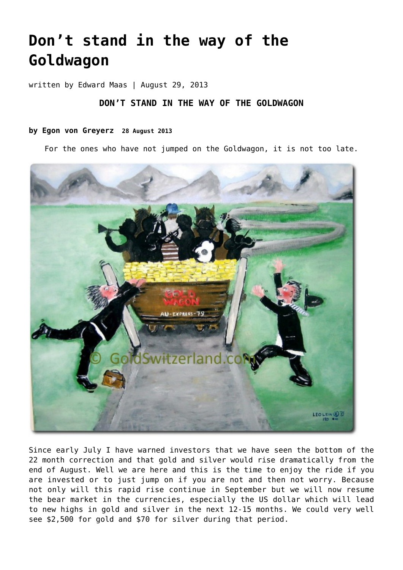# **[Don't stand in the way of the](https://goldswitzerland.com/dont-stand-in-the-way-of-the-goldwagon/) [Goldwagon](https://goldswitzerland.com/dont-stand-in-the-way-of-the-goldwagon/)**

written by Edward Maas | August 29, 2013

## **DON'T STAND IN THE WAY OF THE GOLDWAGON**

### **by Egon von Greyerz 28 August 2013**

For the ones who have not jumped on the Goldwagon, it is not too late.



Since early July I have warned investors that we have seen the bottom of the 22 month correction and that gold and silver would rise dramatically from the end of August. Well we are here and this is the time to enjoy the ride if you are invested or to just jump on if you are not and then not worry. Because not only will this rapid rise continue in September but we will now resume the bear market in the currencies, especially the US dollar which will lead to new highs in gold and silver in the next 12-15 months. We could very well see \$2,500 for gold and \$70 for silver during that period.